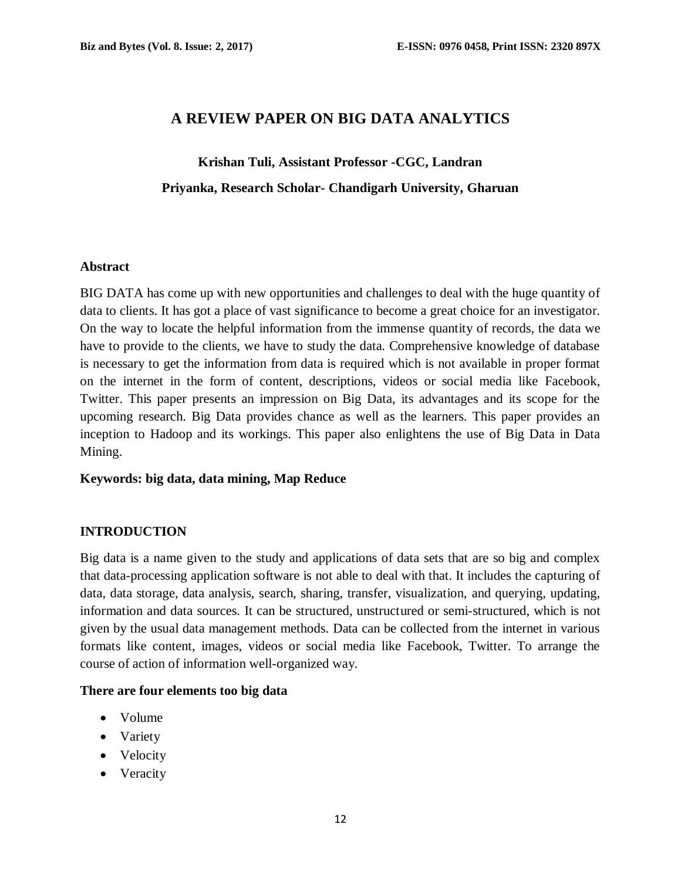# **A REVIEW PAPER ON BIG DATA ANALYTICS**

# **Krishan Tuli, Assistant Professor -CGC, Landran Priyanka, Research Scholar- Chandigarh University, Gharuan**

#### **Abstract**

BIG DATA has come up with new opportunities and challenges to deal with the huge quantity of data to clients. It has got a place of vast significance to become a great choice for an investigator. On the way to locate the helpful information from the immense quantity of records, the data we have to provide to the clients, we have to study the data. Comprehensive knowledge of database is necessary to get the information from data is required which is not available in proper format on the internet in the form of content, descriptions, videos or social media like Facebook, Twitter. This paper presents an impression on Big Data, its advantages and its scope for the upcoming research. Big Data provides chance as well as the learners. This paper provides an inception to Hadoop and its workings. This paper also enlightens the use of Big Data in Data Mining.

#### **Keywords: big data, data mining, Map Reduce**

#### **INTRODUCTION**

Big data is a name given to the study and applications of data sets that are so big and complex that data-processing application software is not able to deal with that. It includes the capturing of data, data storage, data analysis, search, sharing, transfer, visualization, and querying, updating, information and data sources. It can be structured, unstructured or semi-structured, which is not given by the usual data management methods. Data can be collected from the internet in various formats like content, images, videos or social media like Facebook, Twitter. To arrange the course of action of information well-organized way.

#### **There are four elements too big data**

- Volume
- Variety
- Velocity
- Veracity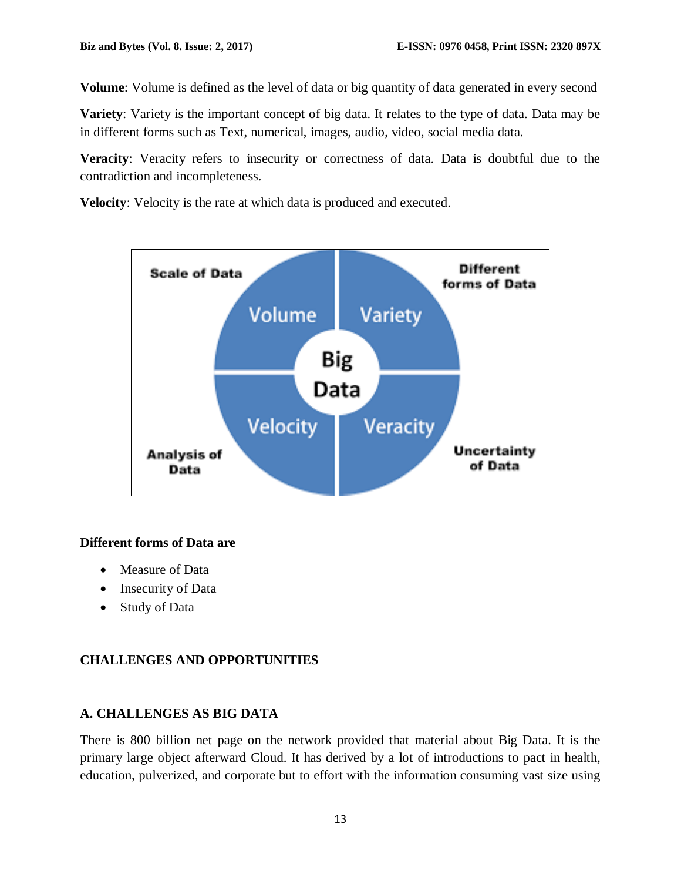**Volume**: Volume is defined as the level of data or big quantity of data generated in every second

**Variety**: Variety is the important concept of big data. It relates to the type of data. Data may be in different forms such as Text, numerical, images, audio, video, social media data.

**Veracity**: Veracity refers to insecurity or correctness of data. Data is doubtful due to the contradiction and incompleteness.

**Velocity**: Velocity is the rate at which data is produced and executed.



#### **Different forms of Data are**

- Measure of Data
- Insecurity of Data
- Study of Data

## **CHALLENGES AND OPPORTUNITIES**

## **A. CHALLENGES AS BIG DATA**

There is 800 billion net page on the network provided that material about Big Data. It is the primary large object afterward Cloud. It has derived by a lot of introductions to pact in health, education, pulverized, and corporate but to effort with the information consuming vast size using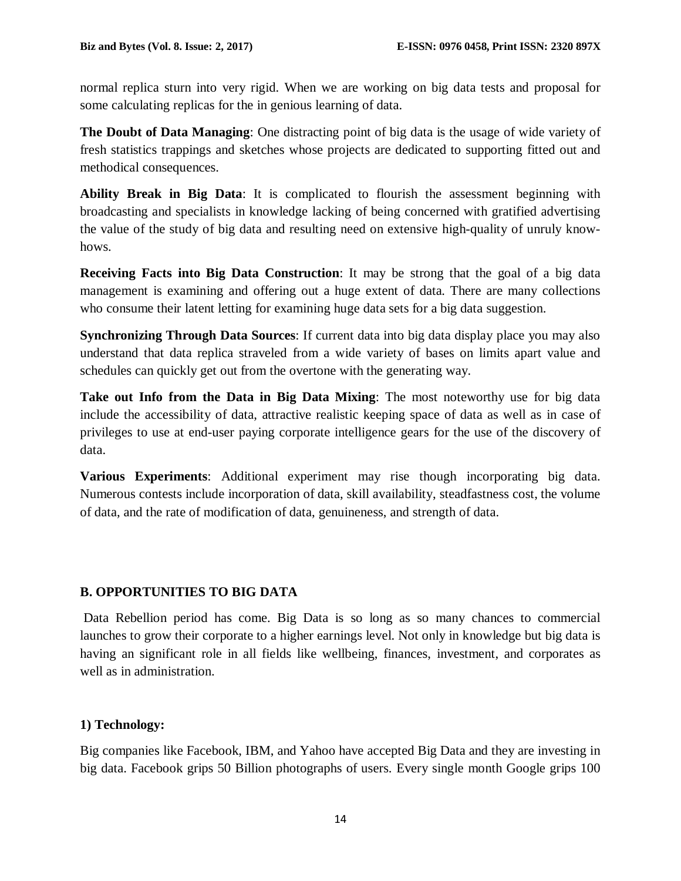normal replica sturn into very rigid. When we are working on big data tests and proposal for some calculating replicas for the in genious learning of data.

**The Doubt of Data Managing**: One distracting point of big data is the usage of wide variety of fresh statistics trappings and sketches whose projects are dedicated to supporting fitted out and methodical consequences.

**Ability Break in Big Data**: It is complicated to flourish the assessment beginning with broadcasting and specialists in knowledge lacking of being concerned with gratified advertising the value of the study of big data and resulting need on extensive high-quality of unruly knowhows.

**Receiving Facts into Big Data Construction**: It may be strong that the goal of a big data management is examining and offering out a huge extent of data. There are many collections who consume their latent letting for examining huge data sets for a big data suggestion.

**Synchronizing Through Data Sources**: If current data into big data display place you may also understand that data replica straveled from a wide variety of bases on limits apart value and schedules can quickly get out from the overtone with the generating way.

**Take out Info from the Data in Big Data Mixing**: The most noteworthy use for big data include the accessibility of data, attractive realistic keeping space of data as well as in case of privileges to use at end-user paying corporate intelligence gears for the use of the discovery of data.

**Various Experiments**: Additional experiment may rise though incorporating big data. Numerous contests include incorporation of data, skill availability, steadfastness cost, the volume of data, and the rate of modification of data, genuineness, and strength of data.

## **B. OPPORTUNITIES TO BIG DATA**

Data Rebellion period has come. Big Data is so long as so many chances to commercial launches to grow their corporate to a higher earnings level. Not only in knowledge but big data is having an significant role in all fields like wellbeing, finances, investment, and corporates as well as in administration.

## **1) Technology:**

Big companies like Facebook, IBM, and Yahoo have accepted Big Data and they are investing in big data. Facebook grips 50 Billion photographs of users. Every single month Google grips 100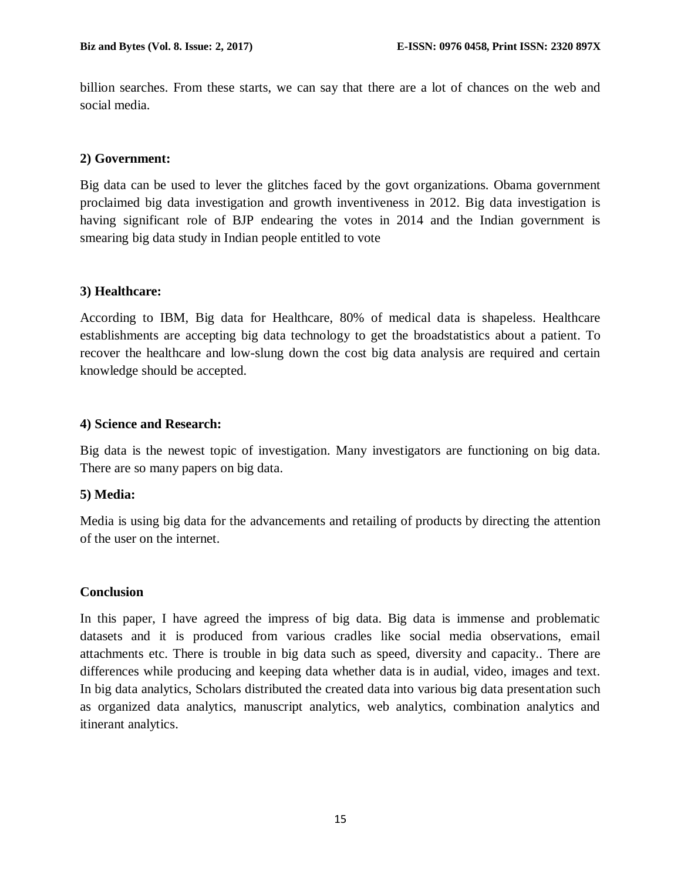billion searches. From these starts, we can say that there are a lot of chances on the web and social media.

#### **2) Government:**

Big data can be used to lever the glitches faced by the govt organizations. Obama government proclaimed big data investigation and growth inventiveness in 2012. Big data investigation is having significant role of BJP endearing the votes in 2014 and the Indian government is smearing big data study in Indian people entitled to vote

#### **3) Healthcare:**

According to IBM, Big data for Healthcare, 80% of medical data is shapeless. Healthcare establishments are accepting big data technology to get the broadstatistics about a patient. To recover the healthcare and low-slung down the cost big data analysis are required and certain knowledge should be accepted.

#### **4) Science and Research:**

Big data is the newest topic of investigation. Many investigators are functioning on big data. There are so many papers on big data.

#### **5) Media:**

Media is using big data for the advancements and retailing of products by directing the attention of the user on the internet.

#### **Conclusion**

In this paper, I have agreed the impress of big data. Big data is immense and problematic datasets and it is produced from various cradles like social media observations, email attachments etc. There is trouble in big data such as speed, diversity and capacity.. There are differences while producing and keeping data whether data is in audial, video, images and text. In big data analytics, Scholars distributed the created data into various big data presentation such as organized data analytics, manuscript analytics, web analytics, combination analytics and itinerant analytics.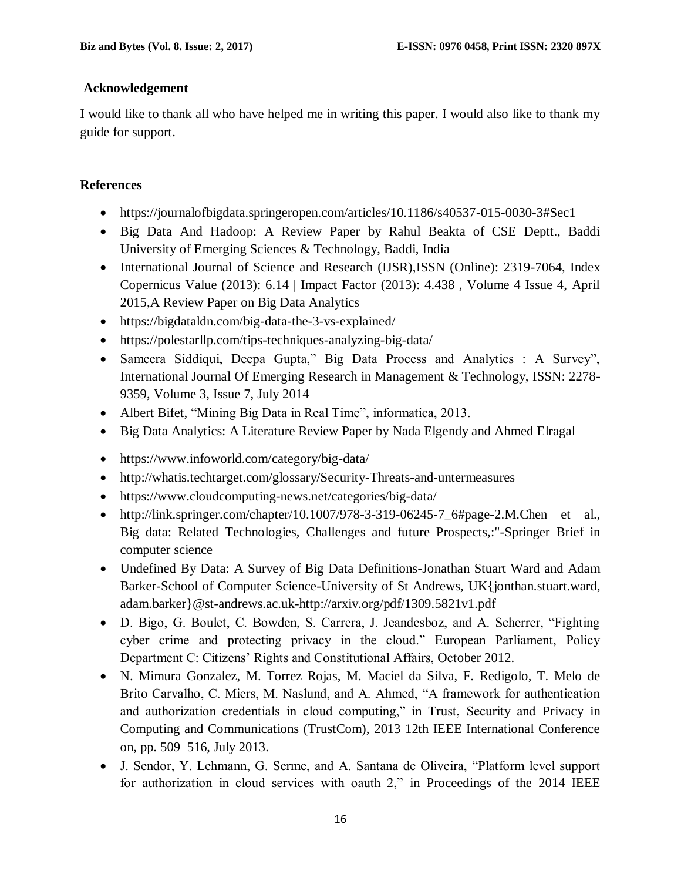### **Acknowledgement**

I would like to thank all who have helped me in writing this paper. I would also like to thank my guide for support.

## **References**

- https://journalofbigdata.springeropen.com/articles/10.1186/s40537-015-0030-3#Sec1
- Big Data And Hadoop: A Review Paper by Rahul Beakta of CSE Deptt., Baddi University of Emerging Sciences & Technology, Baddi, India
- International Journal of Science and Research (IJSR), ISSN (Online): 2319-7064, Index Copernicus Value (2013): 6.14 | Impact Factor (2013): 4.438 , Volume 4 Issue 4, April 2015,A Review Paper on Big Data Analytics
- https://bigdataldn.com/big-data-the-3-vs-explained/
- https://polestarllp.com/tips-techniques-analyzing-big-data/
- Sameera Siddiqui, Deepa Gupta," Big Data Process and Analytics : A Survey", International Journal Of Emerging Research in Management & Technology, ISSN: 2278- 9359, Volume 3, Issue 7, July 2014
- Albert Bifet, "Mining Big Data in Real Time", informatica, 2013.
- Big Data Analytics: A Literature Review Paper by Nada Elgendy and Ahmed Elragal
- https://www.infoworld.com/category/big-data/
- http://whatis.techtarget.com/glossary/Security-Threats-and-untermeasures
- <https://www.cloudcomputing-news.net/categories/big-data/>
- http://link.springer.com/chapter/10.1007/978-3-319-06245-7  $6\#page-2.M$ .Chen et al., Big data: Related Technologies, Challenges and future Prospects,:"-Springer Brief in computer science
- Undefined By Data: A Survey of Big Data Definitions-Jonathan Stuart Ward and Adam Barker-School of Computer Science-University of St Andrews, UK{jonthan.stuart.ward, adam.barker}@st-andrews.ac.uk-http://arxiv.org/pdf/1309.5821v1.pdf
- D. Bigo, G. Boulet, C. Bowden, S. Carrera, J. Jeandesboz, and A. Scherrer, "Fighting cyber crime and protecting privacy in the cloud." European Parliament, Policy Department C: Citizens' Rights and Constitutional Affairs, October 2012.
- N. Mimura Gonzalez, M. Torrez Rojas, M. Maciel da Silva, F. Redigolo, T. Melo de Brito Carvalho, C. Miers, M. Naslund, and A. Ahmed, "A framework for authentication and authorization credentials in cloud computing," in Trust, Security and Privacy in Computing and Communications (TrustCom), 2013 12th IEEE International Conference on, pp. 509–516, July 2013.
- J. Sendor, Y. Lehmann, G. Serme, and A. Santana de Oliveira, "Platform level support for authorization in cloud services with oauth 2," in Proceedings of the 2014 IEEE